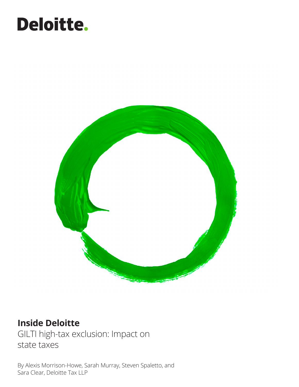# Deloitte.



### **Inside Deloitte**

GILTI high-tax exclusion: Impact on state taxes

By Alexis Morrison-Howe, Sarah Murray, Steven Spaletto, and Sara Clear, Deloitte Tax LLP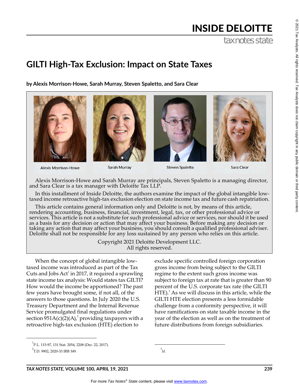# INSIDE DELOITTE

tax notes state

## **GILTI High-Tax Exclusion: Impact on State Taxes**

**by Alexis Morrison-Howe, Sarah Murray, Steven Spaletto, and Sara Clear**









**Steven Spaletto** 

Sara Clear

Alexis Morrison-Howe and Sarah Murray are principals, Steven Spaletto is a managing director, and Sara Clear is a tax manager with Deloitte Tax LLP.

In this installment of Inside Deloitte, the authors examine the impact of the global intangible low- taxed income retroactive high-tax exclusion election on state income tax and future cash repatriation.

This article contains general information only and Deloitte is not, by means of this article, rendering accounting, business, financial, investment, legal, tax, or other professional advice or services. This article is not a substitute for such professional advice or services, nor should it be used as a basis for any decision or action that may affect your business. Before making any decision or taking any action that may affect your business, you should consult a qualified professional adviser. Deloitte shall not be responsible for any loss sustained by any person who relies on this article.

> Copyright 2021 Deloitte Development LLC. All rights reserved.

When the concept of global intangible lowtaxed income was introduced as part of the Tax Cuts and Jobs  $Act^1$  in 2017, it required a sprawling state income tax analysis: Would states tax GILTI? How would the income be apportioned? The past few years have brought some, if not all, of the answers to those questions. In July 2020 the U.S. Treasury Department and the Internal Revenue Service promulgated final regulations under section  $951A(c)(2)(A)<sup>2</sup>$  providing taxpayers with a retroactive high-tax exclusion (HTE) election to

exclude specific controlled foreign corporation gross income from being subject to the GILTI regime to the extent such gross income was subject to foreign tax at rate that is greater than 90 percent of the U.S. corporate tax rate (the GILTI HTE). $^3$  As we will discuss in this article, while the GILTI HTE election presents a less formidable challenge from a conformity perspective, it will have ramifications on state taxable income in the year of the election as well as on the treatment of future distributions from foreign subsidiaries.

```
^{3}Id.
```
 $^{\circ}$ 

<sup>1</sup> P.L. 115-97, 131 Stat. 2054, 2208 (Dec. 22, 2017).

 ${}^{2}$ T.D. 9902, 2020-33 IRB 349.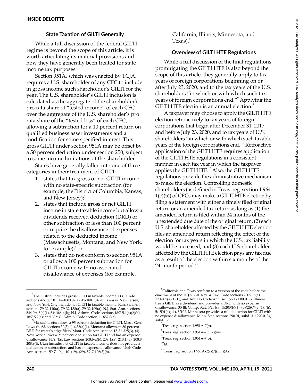#### **State Taxation of GILTI Generally**

While a full discussion of the federal GILTI regime is beyond the scope of this article, it is worth articulating its material provisions and how they have generally been treated for state income tax purposes.

Section 951A, which was enacted by TCJA, requires a U.S. shareholder of any CFC to include in gross income such shareholder's GILTI for the year. The U.S. shareholder's GILTI inclusion is calculated as the aggregate of the shareholder's pro rata share of "tested income" of each CFC over the aggregate of the U.S. shareholder's pro rata share of the "tested loss" of each CFC, allowing a subtraction for a 10 percent return on qualified business asset investments and a modification for some specified interest. This gross GILTI under section 951A may be offset by a 50 percent deduction under section 250, subject to some income limitations of the shareholder.

States have generally fallen into one of three categories in their treatment of GILTI:

- 1. states that tax gross or net GILTI income with no state-specific subtraction (for example*,* the District of Columbia, Kansas, and New Jersey); $^4$
- 2. states that include gross or net GILTI income in state taxable income but allow a dividends received deduction (DRD) or other subtraction of less than 100 percent or require the disallowance of expenses related to the deducted income (Massachusetts, Montana, and New York, for example); $\rm ^{5}$  or
- 3. states that do not conform to section 951A or allow a 100 percent subtraction for GILTI income with no associated disallowance of expenses (for example,

California, Illinois, Minnesota, and Texas). $<sup>6</sup>$ </sup>

#### **Overview of GILTI HTE Regulations**

While a full discussion of the final regulations promulgating the GILTI HTE is also beyond the scope of this article, they generally apply to tax years of foreign corporations beginning on or after July 23, 2020, and to the tax years of the U.S. shareholders "in which or with which such tax years of foreign corporations end."<sup>7</sup> Applying the GILTI HTE election is an annual election.<sup>8</sup>

A taxpayer may choose to apply the GILTI HTE election retroactively to tax years of foreign corporations that begin after December 31, 2017, and before July 23, 2020, and to tax years of U.S. shareholders "in which or with which such taxable years of the foreign corporations end."<sup>9</sup> Retroactive application of the GILTI HTE requires application of the GILTI HTE regulations in a consistent manner in each tax year in which the taxpayer applies the GILTI HTE.<sup>10</sup> Also, the GILTI HTE regulations provide the administrative mechanism to make the election. Controlling domestic shareholders (as defined in Treas. reg. section 1.964- 1(c)(5)) of CFCs may make a GILTI HTE election by filing a statement with either a timely filed original return or an amended tax return as long as (1) the amended return is filed within 24 months of the unextended due date of the original return, (2) each U.S. shareholder affected by the GILTI HTE election files an amended return reflecting the effect of the election for tax years in which the U.S. tax liability would be increased, and (3) each U.S. shareholder affected by the GILTI HTE election pays any tax due as a result of the election within six months of the 24-month period. $^{11}$ 

 $^{\circ}$ 

<sup>4</sup> The District includes gross GILTI in taxable income. D.C. Code sections 47-1803.01, 47-1803.02(a), 47-1801.04(28). Kansas, New Jersey, and New York City include net GILTI in taxable income. Kan. Stat. Ann. sections 79-32,110(a), 79-32,138(a), 79-32,109(a); N.J. Stat. Ann. sections 54:10A-5(c)(1), 54:10A-4(k); N.J. Admin. Code sections 18:7-5.1(a)(2)(b), 18:7-5.2(a); and N.Y.C. Admin. Code section 11-652.8(a).

<sup>5</sup> Massachusetts allows a 95 percent deduction for GILTI. Mass. Gen. Laws ch. 63, sections 30(3), (4), 38(a)(1). Montana allows an 80 percent DRD for water's-edge filers. Mont. Code Ann. section 15-31-325(3), (4). New York allows a 95 percent deduction for GILTI and has an expense disallowance. N.Y. Tax Law sections 208.6-a(b), 209.1.(a), 210.1.(a), 208.8, 208.9(i). Utah includes net GILTI in taxable income, does not provide a deduction or subtraction, and has an expense disallowance. Utah Code Ann. sections 59-7-104, -101(19), (29), 59-7-106(3)(b).

 $^{6}$ California and Texas conform to a version of the code before the enactment of the TCJA. Cal. Rev. & Tax. Code sections 23051.5(a), 17024.5(a)(1)(P); and Tex. Tax Code Ann. section 171.0001(9). Illinois treats GILTI as a dividend and provides a DRD with no expense disallowance. 35 Ill. Comp. Stat. 5/201(a), 5/203(b)(1), (b)(2)(O)(e)(1), (h), 5/1501(a)(11), 5/102. Minnesota provides a full deduction for GILTI with no expense disallowance. Minn. Stat. sections 290.01, subd. 31; 290.0134, subd. 17.

<sup>&</sup>lt;sup>7</sup>Treas. reg. section 1.951A-7(b).

 $^8$ Treas. reg. section 1.951A-2(c)(7)(viii).

<sup>&</sup>lt;sup>9</sup><br>Treas. reg. section 1.951A-7(b).

<sup>10</sup> *Id.*

<sup>11</sup> Treas. reg. section 1.951A-2(c)(7)(viii)(A).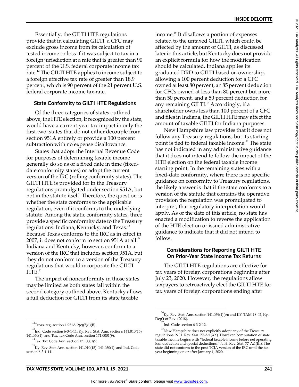$^{\circ}$ 

Essentially, the GILTI HTE regulations provide that in calculating GILTI, a CFC may exclude gross income from its calculation of tested income or loss if it was subject to tax in a foreign jurisdiction at a rate that is greater than 90 percent of the U.S. federal corporate income tax rate.<sup>12</sup> The GILTI HTE applies to income subject to a foreign effective tax rate of greater than 18.9 percent, which is 90 percent of the 21 percent U.S. federal corporate income tax rate.

#### **State Conformity to GILTI HTE Regulations**

Of the three categories of states outlined above, the HTE election, if recognized by the state, would have a current-year tax impact in only the first two: states that do not either decouple from section 951A entirely or provide a 100 percent subtraction with no expense disallowance.

States that adopt the Internal Revenue Code for purposes of determining taxable income generally do so as of a fixed date in time (fixeddate conformity states) or adopt the current version of the IRC (rolling conformity states). The GILTI HTE is provided for in the Treasury regulations promulgated under section 951A, but not in the statute itself. Therefore, the question is whether the state conforms to the applicable regulation, even if it conforms to the underlying statute. Among the static conformity states, three provide a specific conformity date to the Treasury regulations: Indiana, Kentucky, and Texas.<sup>13</sup><br>Receives Taylor and forms to the IDC as in effect Because Texas conforms to the IRC as in effect in 2007, it does not conform to section 951A at all.<sup>14</sup> Indiana and Kentucky, however, conform to a version of the IRC that includes section 951A, but they do not conform to a version of the Treasury regulations that would incorporate the GILTI  $HTE.<sup>15</sup>$ 

The impact of nonconformity in those states may be limited as both states fall within the second category outlined above. Kentucky allows a full deduction for GILTI from its state taxable

income.<sup>16</sup> It disallows a portion of expenses related to the untaxed GILTI, which could be affected by the amount of GILTI, as discussed later in this article, but Kentucky does not provide an explicit formula for how the modification should be calculated. Indiana applies its graduated DRD to GILTI based on ownership, allowing a 100 percent deduction for a CFC owned at least 80 percent, an 85 percent deduction for CFCs owned at less than 80 percent but more than 50 percent, and a 50 percent deduction for any remaining GILTI. $17$  Accordingly, if a shareholder owns less than 100 percent of a CFC and files in Indiana, the GILTI HTE may affect the amount of taxable GILTI for Indiana purposes.

**INSIDE DELOITTE**

New Hampshire law provides that it does not follow any Treasury regulations, but its starting point is tied to federal taxable income.<sup>18</sup> The state has not indicated in any administrative guidance that it does not intend to follow the impact of the HTE election on the federal taxable income starting point. In the remaining states with a fixed-date conformity, where there is no specific guidance on conformity to Treasury regulations, the likely answer is that if the state conforms to a version of the statute that contains the operative provision the regulation was promulgated to interpret, that regulatory interpretation would apply. As of the date of this article, no state has enacted a modification to reverse the application of the HTE election or issued administrative guidance to indicate that it did not intend to follow.

#### **Considerations for Reporting GILTI HTE On Prior-Year State Income Tax Returns**

The GILTI HTE regulations are effective for tax years of foreign corporations beginning after July 23, 2020. However, the regulations allow taxpayers to retroactively elect the GILTI HTE for tax years of foreign corporations ending after

 $^{12}$ Treas. reg. section 1.951A-2(c)(7)(i)(B).

<sup>13</sup> Ind. Code section 6-3-1-11; Ky. Rev. Stat. Ann. sections 141.010(15), 141.050(1); and Tex. Tax Code Ann. section 171.0001(9).

 $^{14}$ Tex. Tax Code Ann. section 171.0001(9).

<sup>15</sup> Ky. Rev. Stat. Ann. section 141.010(15), 141.050(1); and Ind. Code section 6-3-1-11.

 $^{16}$ Ky. Rev. Stat. Ann. section 141.039(1)(b); and KY-TAM-18-02, Ky.

Dep't of Rev. (2018).<br><sup>17</sup>Ind. Code section 6-3-2-12.

 $^{18}$ New Hampshire does not explicitly adopt any of the Treasury regulations. N.H. Rev. Stat. 77-A:1(XX). However, computation of state taxable income begins with "federal taxable income before net operating loss deduction and special deductions." N.H. Rev. Stat. 77-A:1(III). The state did not conform to the post-TCJA version of the IRC until the tax year beginning on or after January 1, 2020.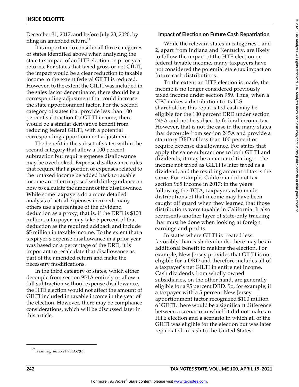December 31, 2017, and before July 23, 2020, by filing an amended return. $19$ 

It is important to consider all three categories of states identified above when analyzing the state tax impact of an HTE election on prior-year returns. For states that taxed gross or net GILTI, the impact would be a clear reduction to taxable income to the extent federal GILTI is reduced. However, to the extent the GILTI was included in the sales factor denominator, there should be a corresponding adjustment that could increase the state apportionment factor. For the second category of states that provide less than 100 percent subtraction for GILTI income, there would be a similar derivative benefit from reducing federal GILTI, with a potential corresponding apportionment adjustment.

The benefit in the subset of states within the second category that allow a 100 percent subtraction but require expense disallowance may be overlooked. Expense disallowance rules that require that a portion of expenses related to the untaxed income be added back to taxable income are often imposed with little guidance on how to calculate the amount of the disallowance. While some taxpayers do a more detailed analysis of actual expenses incurred, many others use a percentage of the dividend deduction as a proxy; that is, if the DRD is \$100 million, a taxpayer may take 5 percent of that deduction as the required addback and include \$5 million in taxable income. To the extent that a taxpayer's expense disallowance in a prior year was based on a percentage of the DRD, it is important to recalculate that disallowance as part of the amended return and make the necessary modifications.

In the third category of states, which either decouple from section 951A entirely or allow a full subtraction without expense disallowance, the HTE election would not affect the amount of GILTI included in taxable income in the year of the election. However, there may be compliance considerations, which will be discussed later in this article.

#### **Impact of Election on Future Cash Repatriation**

While the relevant states in categories 1 and 2, apart from Indiana and Kentucky, are likely to follow the impact of the HTE election on federal taxable income, many taxpayers have not considered the potential state tax impact on future cash distributions.

To the extent an HTE election is made, the income is no longer considered previously taxed income under section 959. Thus, when a CFC makes a distribution to its U.S. shareholder, this repatriated cash may be eligible for the 100 percent DRD under section 245A and not be subject to federal income tax. However, that is not the case in the many states that decouple from section 245A and provide a statutory DRD of less than 100 percent or require expense disallowance. For states that apply the same subtractions to both GILTI and dividends, it may be a matter of timing — the income not taxed as GILTI is later taxed as a dividend, and the resulting amount of tax is the same. For example, California did not tax section 965 income in 2017; in the years following the TCJA, taxpayers who made distributions of that income may have been caught off guard when they learned that those distributions were taxable in California. It also represents another layer of state-only tracking that must be done when looking at foreign earnings and profits.

In states where GILTI is treated less favorably than cash dividends, there may be an additional benefit to making the election. For example, New Jersey provides that GILTI is not eligible for a DRD and therefore includes all of a taxpayer's net GILTI in entire net income. Cash dividends from wholly owned subsidiaries, on the other hand, are generally eligible for a 95 percent DRD. So, for example, if a taxpayer with a 5 percent New Jersey apportionment factor recognized \$100 million of GILTI, there would be a significant difference between a scenario in which it did not make an HTE election and a scenario in which all of the GILTI was eligible for the election but was later repatriated in cash to the United States:

 $^{\circ}$ 

<sup>© 2021</sup> Tax Analysts. All rights reserved. Tax Analysts does not claim copyright in any public domain or third party content.2021 Tax Analysts. All rights reserved. Tax Analysts does not daim copyright in any public domain or third party content

<sup>&</sup>lt;sup>19</sup>Treas. reg. section 1.951A-7(b).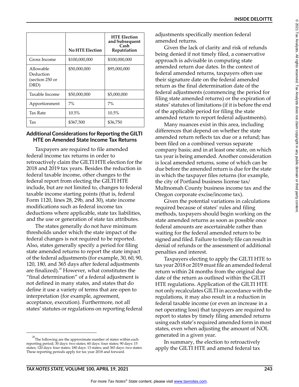|                                                   | <b>No HTE Election</b> | <b>HTE Election</b><br>and Subsequent<br>Cash<br>Repatriation |
|---------------------------------------------------|------------------------|---------------------------------------------------------------|
| Gross Income                                      | \$100,000,000          | \$100,000,000                                                 |
| Allowable<br>Deduction<br>(section 250 or<br>DRD) | \$50,000,000           | \$95,000,000                                                  |
| Taxable Income                                    | \$50,000,000           | \$5,000,000                                                   |
| Apportionment                                     | 7%                     | 7%                                                            |
| <b>Tax Rate</b>                                   | 10.5%                  | 10.5%                                                         |
| Tax                                               | \$367,500              | \$36,750                                                      |

#### **Additional Considerations for Reporting the GILTI HTE on Amended State Income Tax Returns**

Taxpayers are required to file amended federal income tax returns in order to retroactively claim the GILTI HTE election for the 2018 and 2019 tax years. Besides the reduction in federal taxable income, other changes to the federal report from electing the GILTI HTE include, but are not limited to, changes to federal taxable income starting points (that is, federal Form 1120, lines 28, 29b, and 30), state income modifications such as federal income tax deductions where applicable, state tax liabilities, and the use or generation of state tax attributes.

The states generally do not have minimum thresholds under which the state impact of the federal changes is not required to be reported. Also, states generally specify a period for filing state amended returns to report the state impact of the federal adjustments (for example, 30, 60, 90, 120, 180, and 365 days after federal adjustments are finalized). $20$  However, what constitutes the "final determination" of a federal adjustment is not defined in many states, and states that do define it use a variety of terms that are open to interpretation (for example, agreement, acceptance, execution). Furthermore, not all states' statutes or regulations on reporting federal adjustments specifically mention federal amended returns.

Given the lack of clarity and risk of refunds being denied if not timely filed, a conservative approach is advisable in computing state amended return due dates. In the context of federal amended returns, taxpayers often use their signature date on the federal amended return as the final determination date of the federal adjustments (commencing the period for filing state amended returns) or the expiration of states' statutes of limitations (if it is before the end of the applicable period for filing the state amended return to report federal adjustments).

Many nuances exist in this area, including differences that depend on whether the state amended return reflects tax due or a refund; has been filed on a combined versus separate company basis; and in at least one state, on which tax year is being amended. Another consideration is local amended returns, some of which can be due before the amended return is due for the state in which the taxpayer files returns (for example, the city of Portland business license tax/ Multnomah County business income tax and the Oregon corporate excise/income tax).

Given the potential variations in calculations required because of states' rules and filing methods, taxpayers should begin working on the state amended returns as soon as possible once federal amounts are ascertainable rather than waiting for the federal amended return to be signed and filed. Failure to timely file can result in denial of refunds or the assessment of additional penalties and interest.

Taxpayers electing to apply the GILTI HTE to tax year 2018 or 2019 must file an amended federal return within 24 months from the original due date of the return as outlined within the GILTI HTE regulations. Application of the GILTI HTE not only recalculates GILTI in accordance with the regulations, it may also result in a reduction in federal taxable income (or even an increase in a net operating loss) that taxpayers are required to report to states by timely filing amended returns using each state's required amended form in most states, even when adjusting the amount of NOL generated in a given year.

In summary, the election to retroactively apply the GILTI HTE and amend federal tax

 $^{20}$ The following are the approximate number of states within each reporting period; 30 days: two states; 60 days: four states; 90 days: 15 states; 120 days: four states; 180 days: 13 states; and 365 days: two states. These reporting periods apply for tax year 2018 and forward.